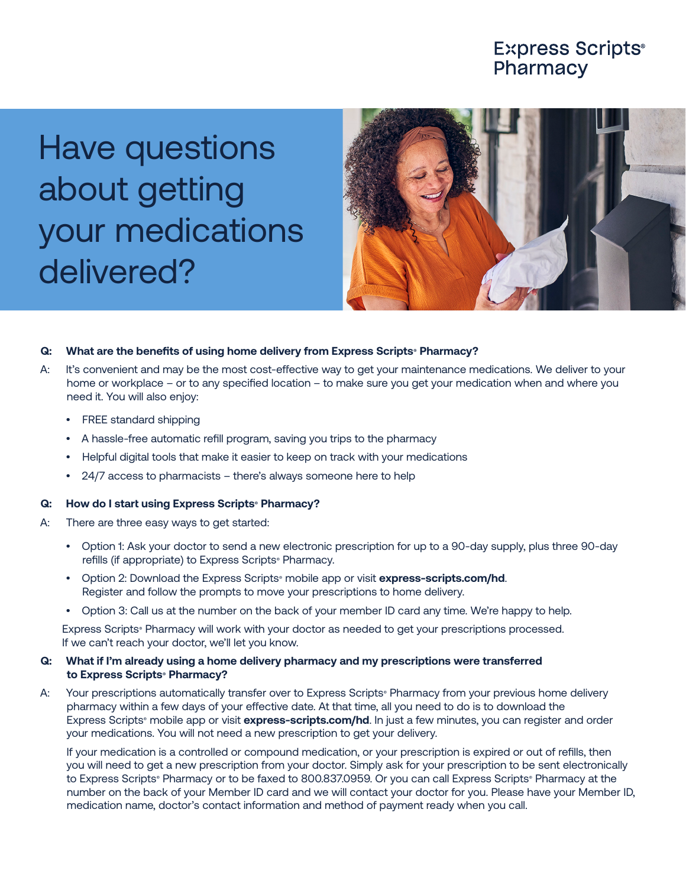## **Express Scripts®** Pharmacy

Have questions about getting your medications delivered?



### **Q: What are the benefits of using home delivery from Express Scripts® Pharmacy?**

- A: It's convenient and may be the most cost-effective way to get your maintenance medications. We deliver to your home or workplace – or to any specified location – to make sure you get your medication when and where you need it. You will also enjoy:
	- FREE standard shipping
	- A hassle-free automatic refill program, saving you trips to the pharmacy
	- Helpful digital tools that make it easier to keep on track with your medications
	- 24/7 access to pharmacists there's always someone here to help

#### **Q: How do I start using Express Scripts® Pharmacy?**

- A: There are three easy ways to get started:
	- Option 1: Ask your doctor to send a new electronic prescription for up to a 90-day supply, plus three 90-day refills (if appropriate) to Express Scripts<sup>®</sup> Pharmacy.
	- Option 2: Download the Express Scripts® mobile app or visit **express-scripts.com/hd**. Register and follow the prompts to move your prescriptions to home delivery.
	- Option 3: Call us at the number on the back of your member ID card any time. We're happy to help.

Express Scripts<sup>®</sup> Pharmacy will work with your doctor as needed to get your prescriptions processed. If we can't reach your doctor, we'll let you know.

#### **Q: What if I'm already using a home delivery pharmacy and my prescriptions were transferred to Express Scripts® Pharmacy?**

A: Your prescriptions automatically transfer over to Express Scripts Pharmacy from your previous home delivery pharmacy within a few days of your effective date. At that time, all you need to do is to download the Express Scripts<sup>®</sup> mobile app or visit *express-scripts.com/hd*. In just a few minutes, you can register and order your medications. You will not need a new prescription to get your delivery.

If your medication is a controlled or compound medication, or your prescription is expired or out of refills, then you will need to get a new prescription from your doctor. Simply ask for your prescription to be sent electronically to Express Scripts® Pharmacy or to be faxed to 800.837.0959. Or you can call Express Scripts® Pharmacy at the number on the back of your Member ID card and we will contact your doctor for you. Please have your Member ID, medication name, doctor's contact information and method of payment ready when you call.